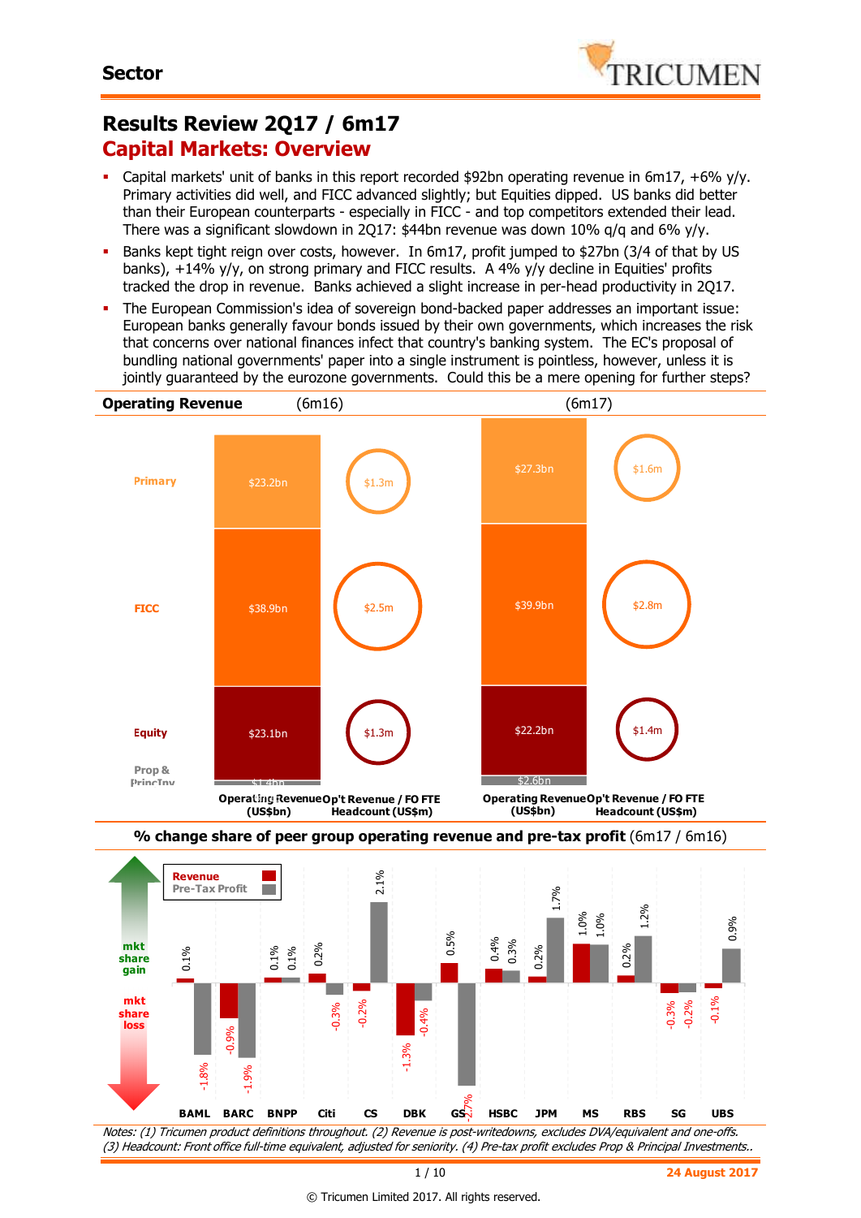

## **Results Review 2Q17 / 6m17 Capital Markets: Overview**

- Capital markets' unit of banks in this report recorded \$92bn operating revenue in 6m17, +6% y/y. Primary activities did well, and FICC advanced slightly; but Equities dipped. US banks did better than their European counterparts - especially in FICC - and top competitors extended their lead. There was a significant slowdown in 2Q17: \$44bn revenue was down 10%  $q/q$  and 6%  $y/y$ .
- Banks kept tight reign over costs, however. In 6m17, profit jumped to \$27bn (3/4 of that by US banks), +14% y/y, on strong primary and FICC results. A 4% y/y decline in Equities' profits tracked the drop in revenue. Banks achieved a slight increase in per-head productivity in 2Q17.
- The European Commission's idea of sovereign bond-backed paper addresses an important issue: European banks generally favour bonds issued by their own governments, which increases the risk that concerns over national finances infect that country's banking system. The EC's proposal of bundling national governments' paper into a single instrument is pointless, however, unless it is jointly guaranteed by the eurozone governments. Could this be a mere opening for further steps?





Notes: (1) Tricumen product definitions throughout. (2) Revenue is post-writedowns, excludes DVA/equivalent and one-offs. (3) Headcount: Front office full-time equivalent, adjusted for seniority. (4) Pre-tax profit excludes Prop & Principal Investments..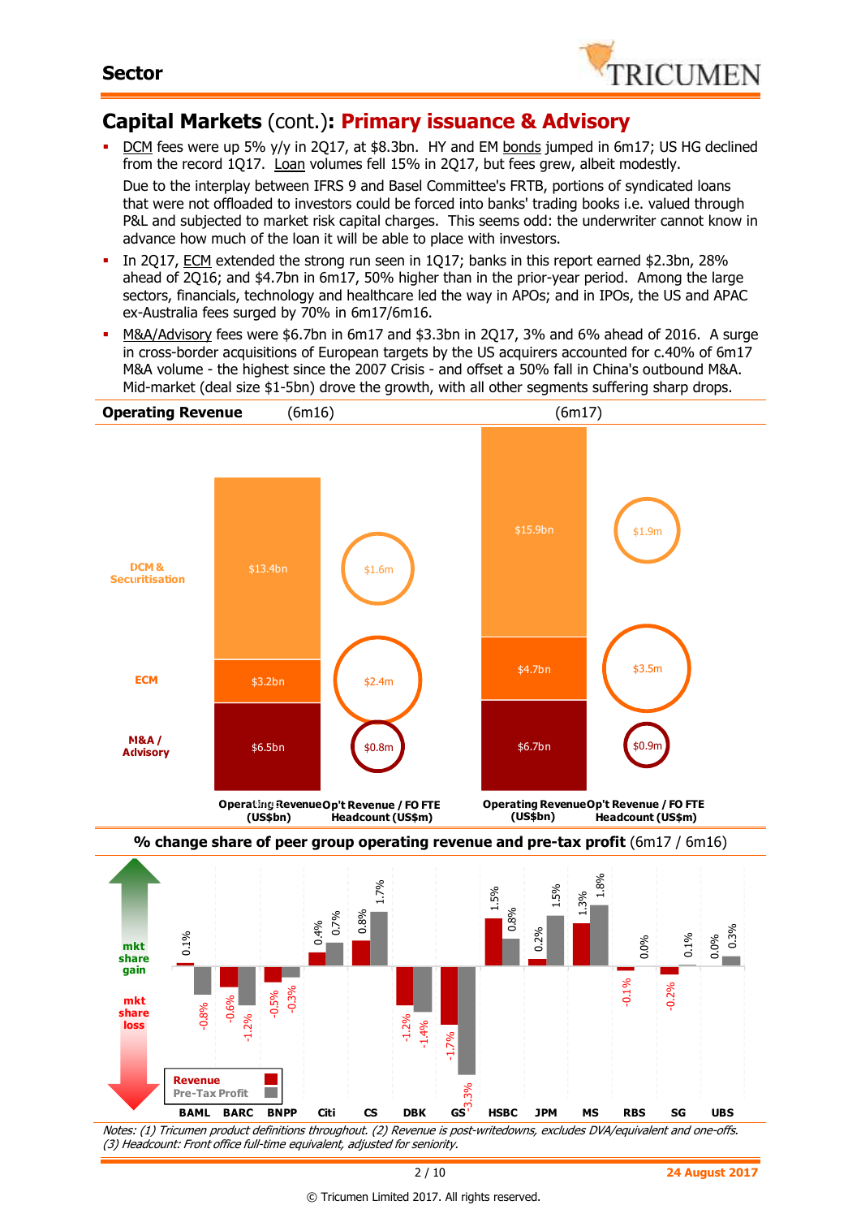

### **Capital Markets** (cont.)**: Primary issuance & Advisory**

- DCM fees were up 5% y/y in 2Q17, at \$8.3bn. HY and EM bonds jumped in 6m17; US HG declined from the record 1Q17. Loan volumes fell 15% in 2Q17, but fees grew, albeit modestly. Due to the interplay between IFRS 9 and Basel Committee's FRTB, portions of syndicated loans that were not offloaded to investors could be forced into banks' trading books i.e. valued through P&L and subjected to market risk capital charges. This seems odd: the underwriter cannot know in advance how much of the loan it will be able to place with investors.
- In 2Q17, ECM extended the strong run seen in 1Q17; banks in this report earned \$2.3bn, 28% ahead of 2Q16; and \$4.7bn in 6m17, 50% higher than in the prior-year period. Among the large sectors, financials, technology and healthcare led the way in APOs; and in IPOs, the US and APAC ex-Australia fees surged by 70% in 6m17/6m16.
- M&A/Advisory fees were \$6.7bn in 6m17 and \$3.3bn in 2Q17, 3% and 6% ahead of 2016. A surge in cross-border acquisitions of European targets by the US acquirers accounted for c.40% of 6m17 M&A volume - the highest since the 2007 Crisis - and offset a 50% fall in China's outbound M&A. Mid-market (deal size \$1-5bn) drove the growth, with all other segments suffering sharp drops.



Notes: (1) Tricumen product definitions throughout. (2) Revenue is post-writedowns, excludes DVA/equivalent and one-offs. (3) Headcount: Front office full-time equivalent, adjusted for seniority.

© Tricumen Limited 2017. All rights reserved.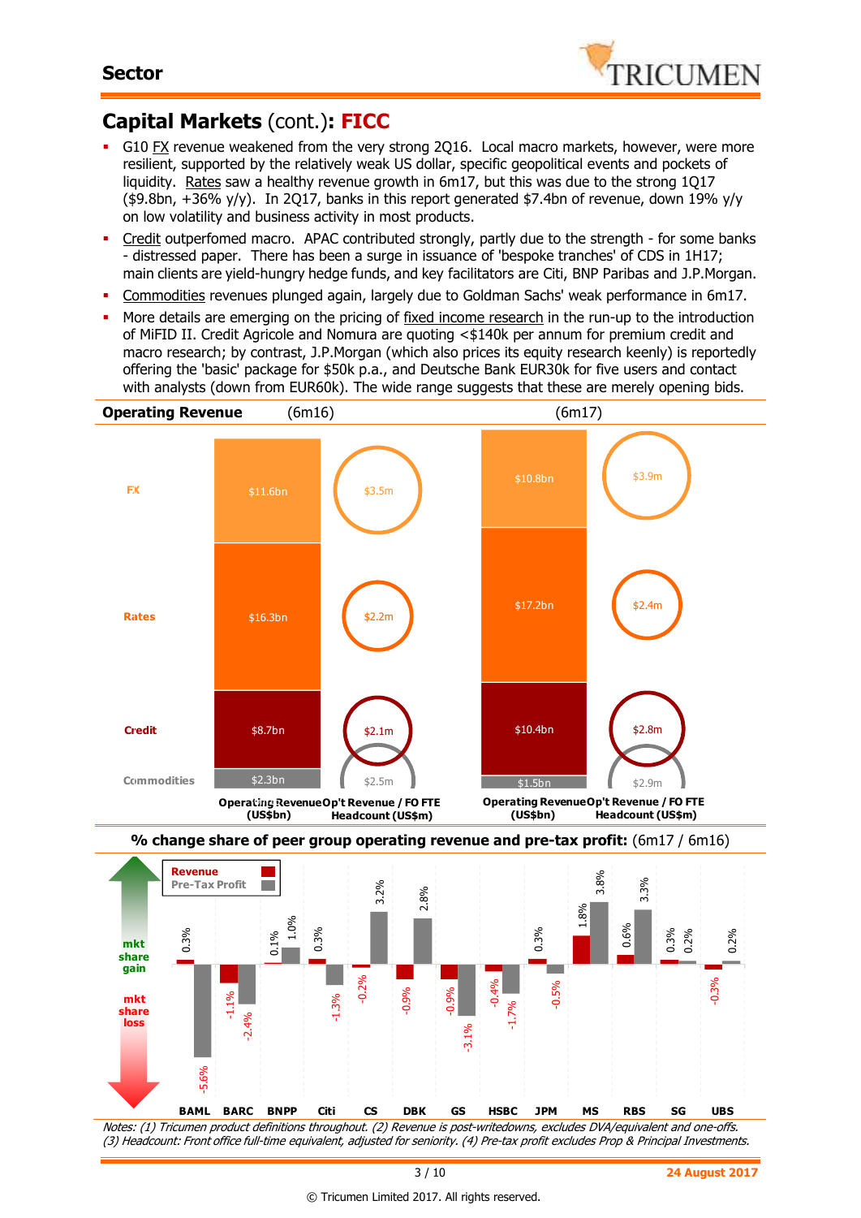-0.06



## **Capital Markets** (cont.)**: FICC**

- G10 FX revenue weakened from the very strong 2Q16. Local macro markets, however, were more resilient, supported by the relatively weak US dollar, specific geopolitical events and pockets of liquidity. Rates saw a healthy revenue growth in 6m17, but this was due to the strong 1Q17 (\$9.8bn, +36% y/y). In 2Q17, banks in this report generated \$7.4bn of revenue, down 19% y/y on low volatility and business activity in most products.
- Credit outperfomed macro. APAC contributed strongly, partly due to the strength for some banks - distressed paper. There has been a surge in issuance of 'bespoke tranches' of CDS in 1H17; main clients are yield-hungry hedge funds, and key facilitators are Citi, BNP Paribas and J.P.Morgan.
- Commodities revenues plunged again, largely due to Goldman Sachs' weak performance in 6m17.
- More details are emerging on the pricing of fixed income research in the run-up to the introduction of MiFID II. Credit Agricole and Nomura are quoting <\$140k per annum for premium credit and macro research; by contrast, J.P.Morgan (which also prices its equity research keenly) is reportedly offering the 'basic' package for \$50k p.a., and Deutsche Bank EUR30k for five users and contact with analysts (down from EUR60k). The wide range suggests that these are merely opening bids.



Notes: (1) Tricumen product definitions throughout. (2) Revenue is post-writedowns, excludes DVA/equivalent and one-offs. (3) Headcount: Front office full-time equivalent, adjusted for seniority. (4) Pre-tax profit excludes Prop & Principal Investments. -5.6% -0.08 **BAML BARC BNPP Citi CS DBK GS HSBC JPM MS RBS SG UBS**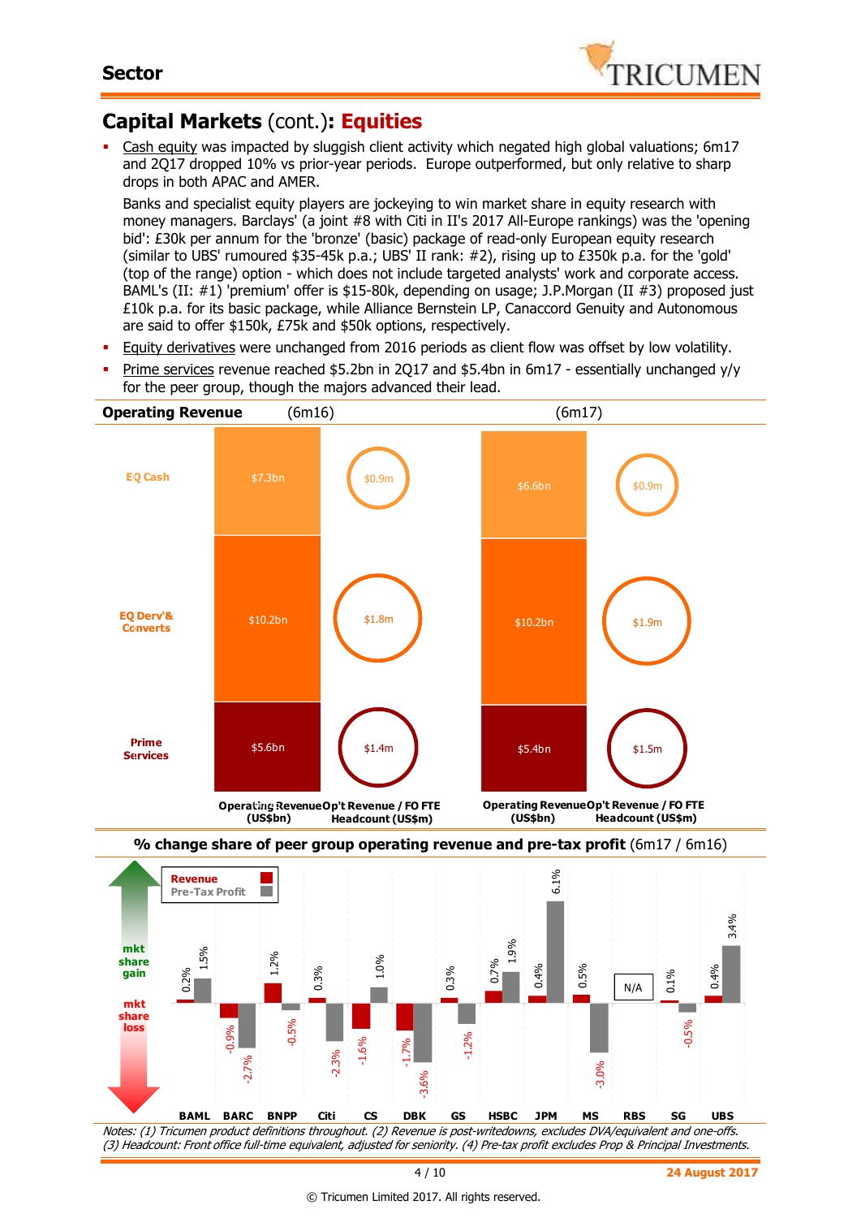0.2%

-0.04

0.02 **gain**

**mkt share** 

**mkt share loss**

0.04

1.5%

 $\frac{\%}{\%}$ 

-2.7%

1.2%

-0.5%

0.3%

-1.6%

1.0%

-2.3%



## **Capital Markets** (cont.)**: Equities**

Cash equity was impacted by sluggish client activity which negated high global valuations; 6m17 and 2Q17 dropped 10% vs prior-year periods. Europe outperformed, but only relative to sharp drops in both APAC and AMER.

Banks and specialist equity players are jockeying to win market share in equity research with money managers. Barclays' (a joint #8 with Citi in II's 2017 All-Europe rankings) was the 'opening bid': £30k per annum for the 'bronze' (basic) package of read-only European equity research (similar to UBS' rumoured \$35-45k p.a.; UBS' II rank: #2), rising up to £350k p.a. for the 'gold' (top of the range) option - which does not include targeted analysts' work and corporate access. BAML's (II: #1) 'premium' offer is \$15-80k, depending on usage; J.P.Morgan (II #3) proposed just £10k p.a. for its basic package, while Alliance Bernstein LP, Canaccord Genuity and Autonomous are said to offer \$150k, £75k and \$50k options, respectively.

- Equity derivatives were unchanged from 2016 periods as client flow was offset by low volatility.
- Prime services revenue reached \$5.2bn in 2Q17 and \$5.4bn in 6m17 essentially unchanged y/y for the peer group, though the majors advanced their lead.



Notes: (1) Tricumen product definitions throughout. (2) Revenue is post-writedowns, excludes DVA/equivalent and one-offs. (3) Headcount: Front office full-time equivalent, adjusted for seniority. (4) Pre-tax profit excludes Prop & Principal Investments. -3.6% -3.0% -0.06 **BAML BARC BNPP Citi CS DBK GS HSBC JPM MS RBS SG UBS**

0.3%

-1.2%

0.7%

1.9%

0.4%

0.5%

-1.7%

0.4%

3.4%

0.1%

N/A

-0.5%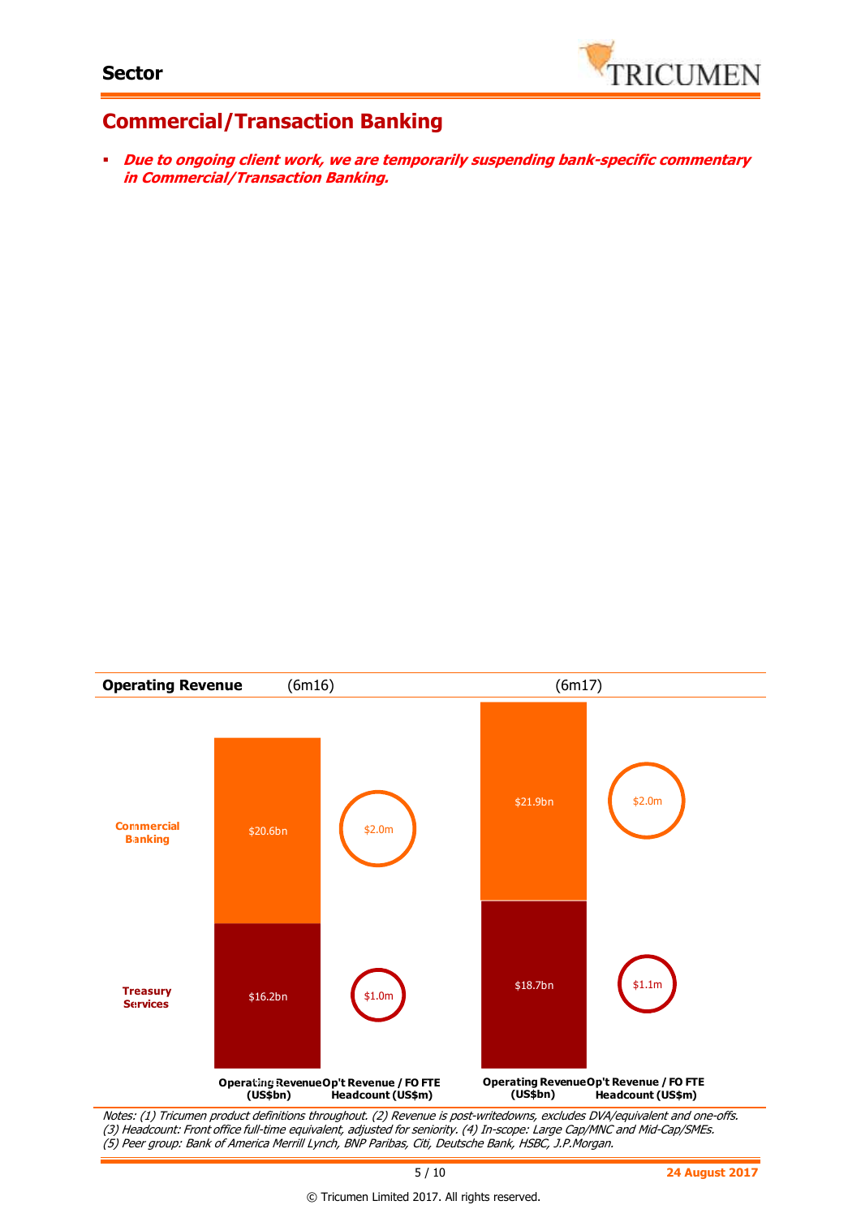

### **Commercial/Transaction Banking**

 **Due to ongoing client work, we are temporarily suspending bank-specific commentary in Commercial/Transaction Banking.** 



(3) Headcount: Front office full-time equivalent, adjusted for seniority. (4) In-scope: Large Cap/MNC and Mid-Cap/SMEs. (5) Peer group: Bank of America Merrill Lynch, BNP Paribas, Citi, Deutsche Bank, HSBC, J.P.Morgan.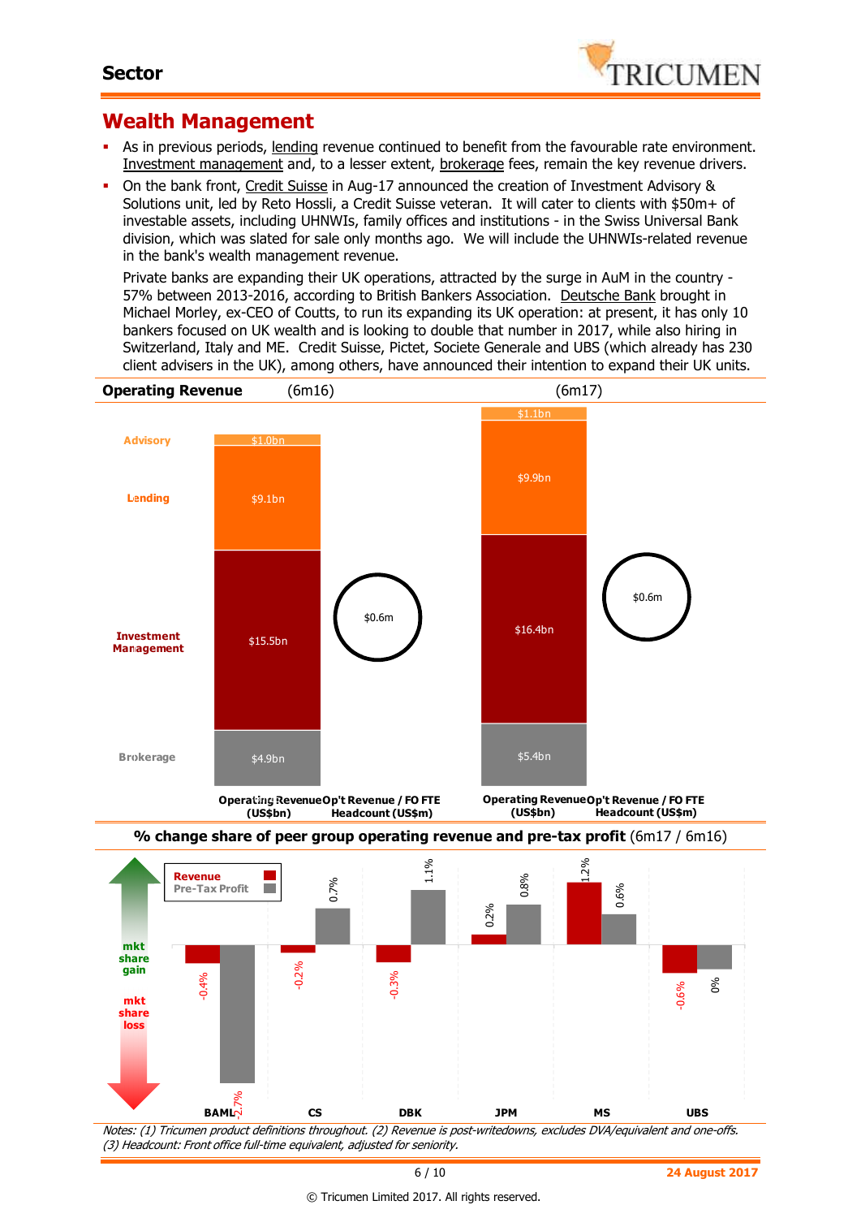

### **Wealth Management**

- As in previous periods, lending revenue continued to benefit from the favourable rate environment. Investment management and, to a lesser extent, brokerage fees, remain the key revenue drivers.
- On the bank front, Credit Suisse in Aug-17 announced the creation of Investment Advisory & Solutions unit, led by Reto Hossli, a Credit Suisse veteran. It will cater to clients with \$50m+ of investable assets, including UHNWIs, family offices and institutions - in the Swiss Universal Bank division, which was slated for sale only months ago. We will include the UHNWIs-related revenue in the bank's wealth management revenue.

Private banks are expanding their UK operations, attracted by the surge in AuM in the country - 57% between 2013-2016, according to British Bankers Association. Deutsche Bank brought in Michael Morley, ex-CEO of Coutts, to run its expanding its UK operation: at present, it has only 10 bankers focused on UK wealth and is looking to double that number in 2017, while also hiring in Switzerland, Italy and ME. Credit Suisse, Pictet, Societe Generale and UBS (which already has 230 client advisers in the UK), among others, have announced their intention to expand their UK units.



(3) Headcount: Front office full-time equivalent, adjusted for seniority.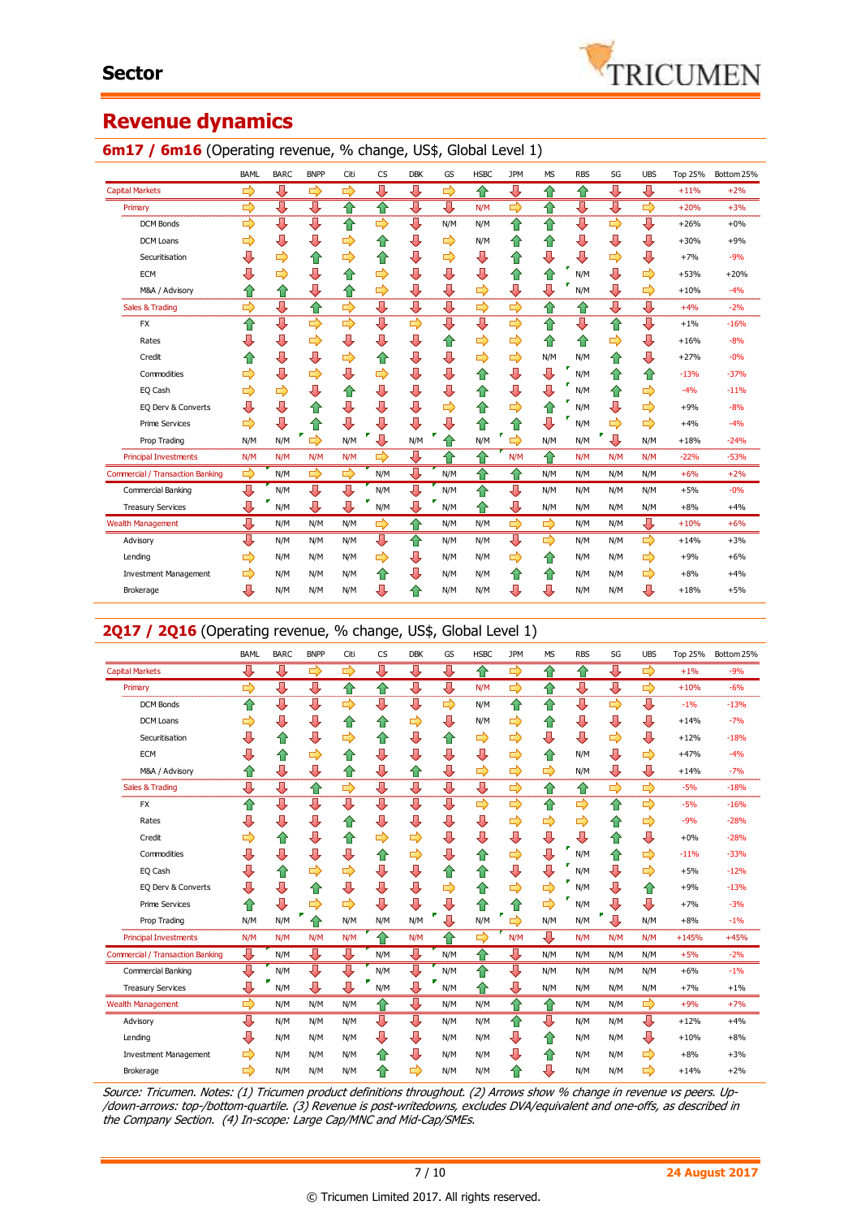

### **Revenue dynamics**

#### **6m17 / 6m16** (Operating revenue, % change, US\$, Global Level 1)

|                                         | <b>BAML</b>   | <b>BARC</b> | <b>BNPP</b>   | Citi          | <b>CS</b>     | <b>DBK</b> | GS  | <b>HSBC</b> | <b>JPM</b>         | <b>MS</b>     | <b>RBS</b> | SG  | <b>UBS</b> | <b>Top 25%</b> | Bottom 25% |
|-----------------------------------------|---------------|-------------|---------------|---------------|---------------|------------|-----|-------------|--------------------|---------------|------------|-----|------------|----------------|------------|
| <b>Capital Markets</b>                  | $\Rightarrow$ | ⊕           | $\Rightarrow$ | ⇨             | ⇩             | ⇩          | ⇨   | ⇧           | ⇩                  | ⇧             | ⇧          | ⇩   | ⇩          | $+11%$         | $+2%$      |
| Primary                                 | ⇨             | ⇩           | ⇩             | ⇧             | ⇧             | ⊕          | ⊕   | N/M         | ⇨                  | ⇧             | ⇩          | ⇩   | ⇨          | $+20%$         | $+3%$      |
| <b>DCM Bonds</b>                        | ⇨             | ⊕           | ⇩             | ⇧             | ⇨             | ⊕          | N/M | N/M         | ⇧                  | ⇧             | ⊕          | ⇨   | ⇩          | $+26%$         | $+0%$      |
| DCM Loans                               | ⇨             | ⇩           | ⇩             | ⇨             | 11            | ⊕          | ⇨   | N/M         | ⇧                  | ⇧             | ⇩          | ⇩   | ⇩          | $+30%$         | $+9%$      |
| Securitisation                          | ⇩             | ⇨           | ⇧             | ⇨             | ⇑             | ⇩          | ⇨   | ⇩           | ⇧                  | ⇩             | ⇩          | ⇨   | ⇩          | $+7%$          | $-9%$      |
| <b>ECM</b>                              |               | ⇨           | ⇩             | ⇧             | ⇨             | ⇩          | ⇩   | ⇩           | ⇧                  | ⇧             | г<br>N/M   | ⇩   | ⇨          | $+53%$         | $+20%$     |
| M&A / Advisory                          | ⇑             | ⇧           | ⇩             | ⇧             | ⇨             | ⇩          | ⇩   | ⇨           | ⇩                  | ⇩             | ٠<br>N/M   | ⇩   | ⇨          | $+10%$         | $-4%$      |
| Sales & Trading                         | ⇨             | ⇩           | ⇧             | ⇨             | ⇩             | ⇩          | ⇩   | ⇨           | ⇨                  | ⇧             | ⇑          | ⇩   | ⇩          | $+4%$          | $-2%$      |
| <b>FX</b>                               | ⇧             | ⇩           | $\Rightarrow$ | 母             | ⇩             | ⇨          | J   | ⇩           | ⇨                  | ⇧             | ⇩          | ⇧   | ⇩          | $+1%$          | $-16%$     |
| Rates                                   | ⇩             | ⇩           | ⇨             | ⇩             | ⇩             | ⇩          | 1   | ⇨           | ⇨                  | ⇧             | ⇧          | ⇨   | ⇩          | $+16%$         | $-8%$      |
| Credit                                  |               | ⇩           | ⇩             | ⇨             | ⇑             | ⇩          | ⇩   | ⇨           | ⇨                  | N/M           | N/M        | ⇧   | ⇩          | $+27%$         | $-0%$      |
| Commodities                             | ⇨             | ⇩           | ⇨             | ⇩             | ⇨             | ⇩          | ⇩   | ⇧           | ⇩                  | ⇩             | N/M        | ⇧   | ⇧          | $-13%$         | $-37%$     |
| EQ Cash                                 | ⇨             | ⇨           | ⇩             | ⇧             | ⇩             | ⇩          | J   | ⇧           | ⇩                  | ⇩             | г<br>N/M   | ⇧   | ⇨          | $-4%$          | $-11%$     |
| EQ Derv & Converts                      | ⊕             | ⇩           | ⇧             | ⇩             | ⊕             | ⊕          | ⇨   | ⇧           | ⇨                  | ⇧             | N/M        | ⇩   | ⇨          | $+9%$          | $-8%$      |
| <b>Prime Services</b>                   | ⇨             | ⇩           | ⇧             | ⇩             | ⊕             | ⇩          | ⇩   | ⇧           | ⇑                  | ⊕             | N/M        | ⇨   | ⇨          | $+4%$          | $-4%$      |
| Prop Trading                            | N/M           | N/M         | ⇨             | N/M           | ٠<br>J        | N/M        |     | N/M         | ⇨                  | N/M           | N/M        | ⇩   | N/M        | $+18%$         | $-24%$     |
| <b>Principal Investments</b>            | N/M           | N/M         | N/M           | N/M           | ⇨             | ⊕          | ⇧   | ⇧           | N/M                | ⇧             | N/M        | N/M | N/M        | $-22%$         | $-53%$     |
| <b>Commercial / Transaction Banking</b> | ⇨             | N/M         | $\Rightarrow$ | $\Rightarrow$ | N/M           | ⇩          | N/M | ⇧           | $\hat{\mathbf{v}}$ | N/M           | N/M        | N/M | N/M        | $+6%$          | $+2%$      |
| Commercial Banking                      | ⇩             | N/M         | ⊕             | ⇩             | N/M           | ⇩          | N/M | ⇑           | ⊕                  | N/M           | N/M        | N/M | N/M        | $+5%$          | $-0%$      |
| <b>Treasury Services</b>                | ⇩             | N/M         | ⇩             | ⇩             | Ÿ<br>N/M      | ⊕          | N/M | ⇧           | ⇩                  | N/M           | N/M        | N/M | N/M        | $+8%$          | $+4%$      |
| <b>Wealth Management</b>                | ⇩             | N/M         | N/M           | N/M           | $\Rightarrow$ | ⇑          | N/M | N/M         | ⇨                  | ⇨             | N/M        | N/M | ⊕          | $+10%$         | $+6%$      |
| Advisory                                | ⇩             | N/M         | N/M           | N/M           | ⊕             | ⇑          | N/M | N/M         | ⇩                  | $\Rightarrow$ | N/M        | N/M | ⇨          | $+14%$         | $+3%$      |
| Lending                                 | ⇨             | N/M         | N/M           | N/M           | ⇨             | ⇩          | N/M | N/M         | ⇨                  | ⇧             | N/M        | N/M | ⇨          | $+9%$          | $+6%$      |
| <b>Investment Management</b>            | ⇨             | N/M         | N/M           | N/M           | ⇧             | ⊕          | N/M | N/M         | ⇧                  | ⇧             | N/M        | N/M | ⇨          | $+8%$          | $+4%$      |
| Brokerage                               | ⊕             | N/M         | N/M           | N/M           | ⊕             | ⇑          | N/M | N/M         | ⇩                  | ⇩             | N/M        | N/M | ⇩          | $+18%$         | $+5%$      |

### 2Q17 / 2Q16 (Operating revenue, % change, US\$, Global Level 1)

|                                         | <b>BAML</b> | <b>BARC</b> | <b>BNPP</b> | Citi | <b>CS</b> | <b>DBK</b> | GS            | <b>HSBC</b>   | <b>JPM</b> | <b>MS</b> | <b>RBS</b> | SG  | <b>UBS</b>    | Top 25% | Bottom 25% |
|-----------------------------------------|-------------|-------------|-------------|------|-----------|------------|---------------|---------------|------------|-----------|------------|-----|---------------|---------|------------|
| <b>Capital Markets</b>                  | ⊕           | ⇩           | ⇨           | ⇨    | ⊕         | ⊕          | ⊕             | ⇧             | ⇨          | ✿         | ⇑          | ⊕   | $\Rightarrow$ | $+1%$   | $-9%$      |
| Primary                                 | ⇨           | ⇩           | ⇩           | ⇧    | ⇧         | ⇩          | J             | N/M           | ⇨          | ⇧         | ⇩          | ⊕   | $\Rightarrow$ | $+10%$  | $-6%$      |
| <b>DCM Bonds</b>                        | ⇧           | ⇩           | ⇩           | ⇨    | ⇩         | ⊕          | $\Rightarrow$ | N/M           | ⇧          | ⇧         | ⇩          | ⇨   | ⇩             | $-1%$   | $-13%$     |
| <b>DCM Loans</b>                        | ⇨           | ⇩           | ⇩           | ⇧    | ✿         | ⇨          | ⊕             | N/M           | ⇨          | ⇧         | ⇩          | ⇩   | ⇩             | $+14%$  | $-7%$      |
| Securitisation                          | ⇩           | ⇧           | ⇩           | ⇨    | ⇧         | ⇩          | 合             | ⇨             | ⇨          | ⊕         | ⇩          | ⇨   | ⇩             | $+12%$  | $-18%$     |
| <b>ECM</b>                              | U           | ⇧           | ⇨           | ⇧    | ⇩         | ⇩          | ⇩             | ⇩             | ⇨          | ⇧         | N/M        | ⇩   | ⇨             | $+47%$  | $-4%$      |
| M&A / Advisory                          | ⇮           | ⇩           | ⇩           | ⇧    | ⇩         | ✿          | л             | ⇨             | ⇨          | ⇨         | N/M        | ⇩   | ⇩             | $+14%$  | $-7%$      |
| Sales & Trading                         | ⇩           | ⇩           | ⇧           | ⇨    | ⇩         | ⇩          | ⇩             | ⇩             | ⇨          | ⇧         | ⇧          | ⇨   | ⇨             | $-5%$   | $-18%$     |
| <b>FX</b>                               | ⇑           | ⊕           | ⇩           | ⇩    | ∪         | ⇩          | ∪             | $\Rightarrow$ | ⇨          | ⇮         | ⇨          | ⇧   | ⇨             | $-5%$   | $-16%$     |
| Rates                                   | ⇩           | ⇩           | ⇩           | ⇧    | ⇩         | ⇩          | ⇩             | ⇩             | ⇨          | ⇨         | ⇨          | ⇧   | $\Rightarrow$ | $-9%$   | $-28%$     |
| Credit                                  | ⇨           | ⇧           | ⇩           | ⇧    | ⇨         | ⇨          | ⇩             | ⇩             | ⇩          | ⇩         | ⇩          | 合   | ⇩             | $+0%$   | $-28%$     |
| Commodities                             | ⇩           | ⇩           | ⇩           | ⇩    | ⇧         | ⇨          | ⇩             | ⇧             | ⇨          | ⇩         | N/M        | ⇧   | ⇨             | $-11%$  | $-33%$     |
| EQ Cash                                 | ⇩           | ⇑           | ⇨           | ⇨    | ⇩         | ⇩          | ⇑             | ⇑             | ⇩          | ⇩         | г<br>N/M   | ⇩   | ⇨             | $+5%$   | $-12%$     |
| EQ Derv & Converts                      | ⇩           | ⇩           | ⇧           | ⇩    | ⇩         | ⇩          | ⇨             | ⇑             | ⇨          | ⇨         | N/M        | ⇩   | ⇧             | $+9%$   | $-13%$     |
| <b>Prime Services</b>                   | ⇑           | ⇩           | ⇨           | ⇨    | ⇩         | ⊕          | ⇩             | ⇧             | ⇑          | ⇨         | N/M        | ⇩   | ⇩             | $+7%$   | $-3%$      |
| Prop Trading                            | N/M         | N/M         | ⇑           | N/M  | N/M       | N/M        | J             | N/M           | ⇨          | N/M       | N/M        | ⇩   | N/M           | $+8%$   | $-1%$      |
| <b>Principal Investments</b>            | N/M         | N/M         | N/M         | N/M  | 合         | N/M        | ⇑             | ⇨             | N/M        | ⊕         | N/M        | N/M | N/M           | $+145%$ | $+45%$     |
| <b>Commercial / Transaction Banking</b> | ⊕           | N/M         | ⊕           | ⇩    | N/M       | ⇩          | N/M           | ⇧             | ⊕          | N/M       | N/M        | N/M | N/M           | $+5%$   | $-2%$      |
| Commercial Banking                      | ⇩           | N/M         | ⇩           | ⇩    | N/M       | ⇩          | N/M           | ⇑             | ⇩          | N/M       | N/M        | N/M | N/M           | $+6%$   | $-1%$      |
| <b>Treasury Services</b>                | ⇩           | N/M         | ⇩           | ⇩    | Ŧ<br>N/M  | ⇩          | N/M           | ⇑             | ⇩          | N/M       | N/M        | N/M | N/M           | $+7%$   | $+1%$      |
| <b>Wealth Management</b>                | ⇨           | N/M         | N/M         | N/M  | ⇧         | ⊕          | N/M           | N/M           | ⇧          | ✿         | N/M        | N/M | ⇨             | $+9%$   | $+7%$      |
| Advisory                                | ⇩           | N/M         | N/M         | N/M  | ⊕         | ⇩          | N/M           | N/M           | ⇧          | ⊕         | N/M        | N/M | ⇩             | $+12%$  | $+4%$      |
| Lending                                 | J,          | N/M         | N/M         | N/M  | ⊕         | ⊕          | N/M           | N/M           | ⊕          | ⇧         | N/M        | N/M | ⇩             | $+10%$  | $+8%$      |
| <b>Investment Management</b>            | ⇨           | N/M         | N/M         | N/M  | ✿         | ⊕          | N/M           | N/M           | ⊕          | 合         | N/M        | N/M | ⇨             | $+8%$   | $+3%$      |
| Brokerage                               | ⇨           | N/M         | N/M         | N/M  | ⇑         | ⇨          | N/M           | N/M           | ⇑          | ⊕         | N/M        | N/M | $\Rightarrow$ | $+14%$  | $+2%$      |

Source: Tricumen. Notes: (1) Tricumen product definitions throughout. (2) Arrows show % change in revenue vs peers. Up- /down-arrows: top-/bottom-quartile. (3) Revenue is post-writedowns, excludes DVA/equivalent and one-offs, as described in the Company Section. (4) In-scope: Large Cap/MNC and Mid-Cap/SMEs.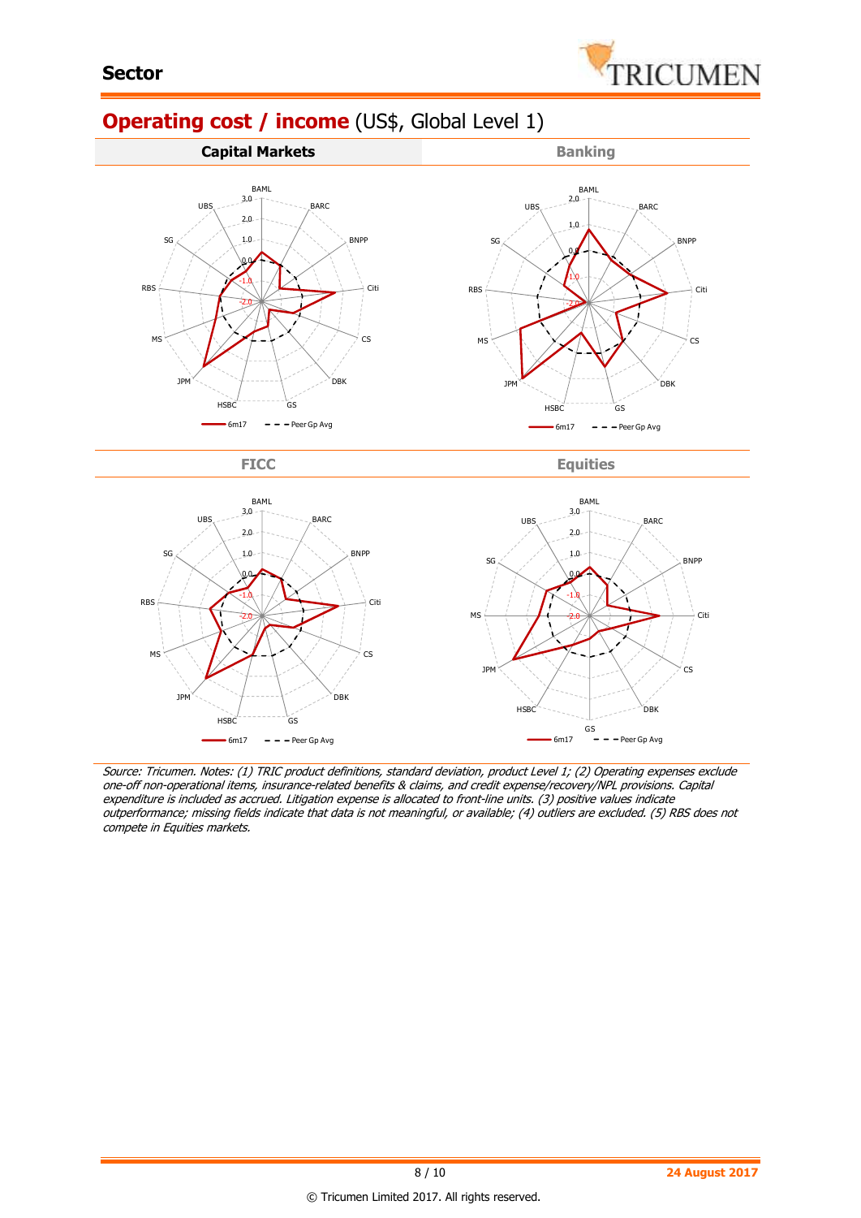

# **Operating cost / income** (US\$, Global Level 1)





Source: Tricumen. Notes: (1) TRIC product definitions, standard deviation, product Level 1; (2) Operating expenses exclude one-off non-operational items, insurance-related benefits & claims, and credit expense/recovery/NPL provisions. Capital expenditure is included as accrued. Litigation expense is allocated to front-line units. (3) positive values indicate outperformance; missing fields indicate that data is not meaningful, or available; (4) outliers are excluded. (5) RBS does not compete in Equities markets.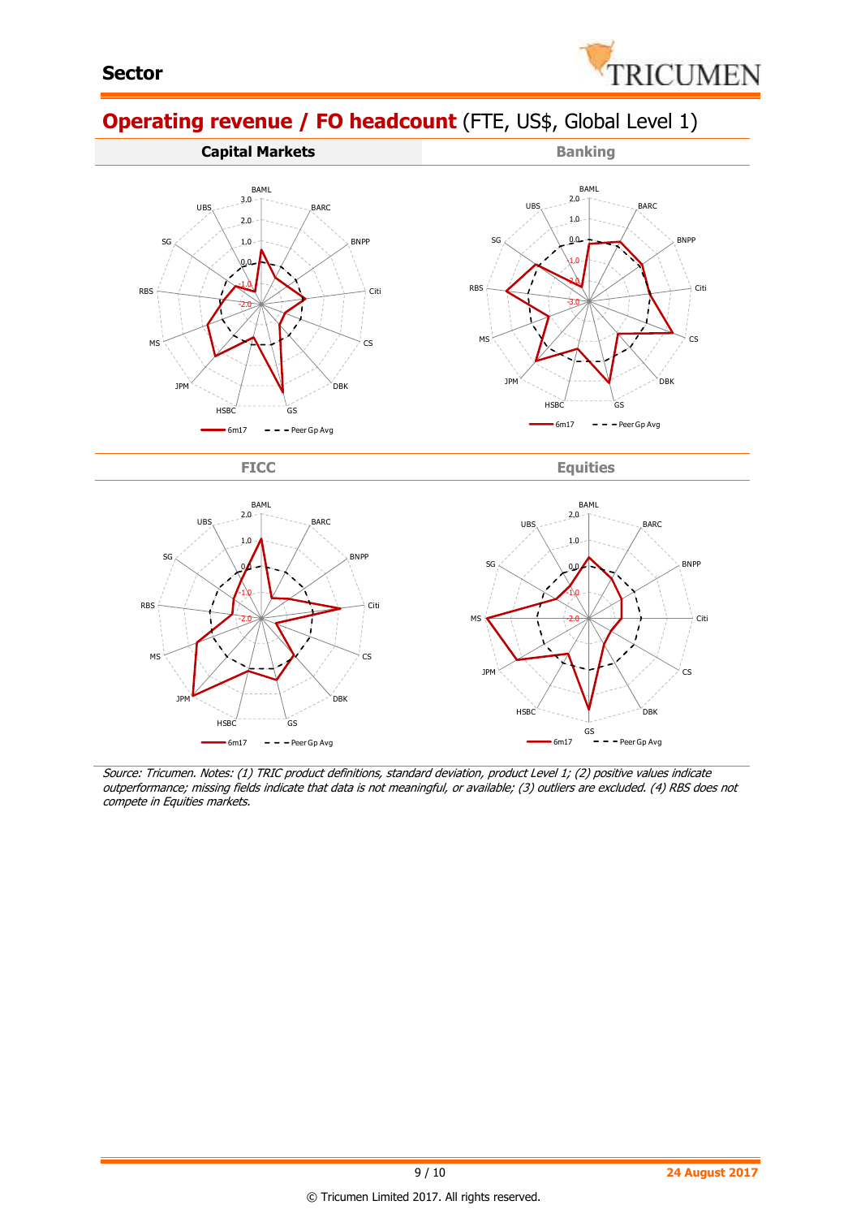

## **Operating revenue / FO headcount** (FTE, US\$, Global Level 1)



FICC Equities



Source: Tricumen. Notes: (1) TRIC product definitions, standard deviation, product Level 1; (2) positive values indicate outperformance; missing fields indicate that data is not meaningful, or available; (3) outliers are excluded. (4) RBS does not compete in Equities markets.